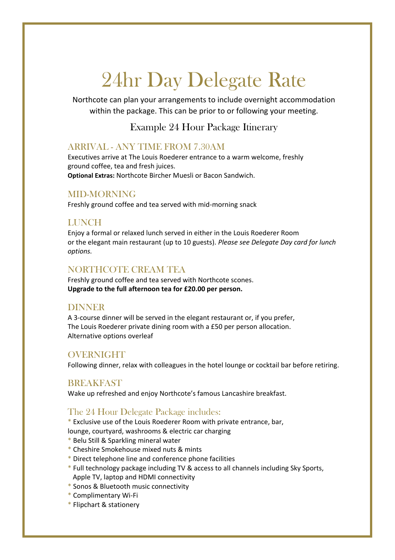# 24hr Day Delegate Rate

Northcote can plan your arrangements to include overnight accommodation within the package. This can be prior to or following your meeting.

Example 24 Hour Package Itinerary

#### ARRIVAL - ANY TIME FROM 7.30AM

Executives arrive at The Louis Roederer entrance to a warm welcome, freshly ground coffee, tea and fresh juices. **Optional Extras:** Northcote Bircher Muesli or Bacon Sandwich.

#### MID-MORNING

Freshly ground coffee and tea served with mid-morning snack

#### **LUNCH**

Enjoy a formal or relaxed lunch served in either in the Louis Roederer Room or the elegant main restaurant (up to 10 guests). *Please see Delegate Day card for lunch options.*

#### NORTHCOTE CREAM TEA

Freshly ground coffee and tea served with Northcote scones. **Upgrade to the full afternoon tea for £20.00 per person.**

#### DINNER

A 3-course dinner will be served in the elegant restaurant or, if you prefer, The Louis Roederer private dining room with a £50 per person allocation. Alternative options overleaf

#### OVERNIGHT

Following dinner, relax with colleagues in the hotel lounge or cocktail bar before retiring.

#### **BREAKFAST**

Wake up refreshed and enjoy Northcote's famous Lancashire breakfast.

#### The 24 Hour Delegate Package includes:

\* Exclusive use of the Louis Roederer Room with private entrance, bar,

- lounge, courtyard, washrooms & electric car charging
- \* Belu Still & Sparkling mineral water
- \* Cheshire Smokehouse mixed nuts & mints
- \* Direct telephone line and conference phone facilities
- \* Full technology package including TV & access to all channels including Sky Sports, Apple TV, laptop and HDMI connectivity
- \* Sonos & Bluetooth music connectivity
- \* Complimentary Wi-Fi
- \* Flipchart & stationery